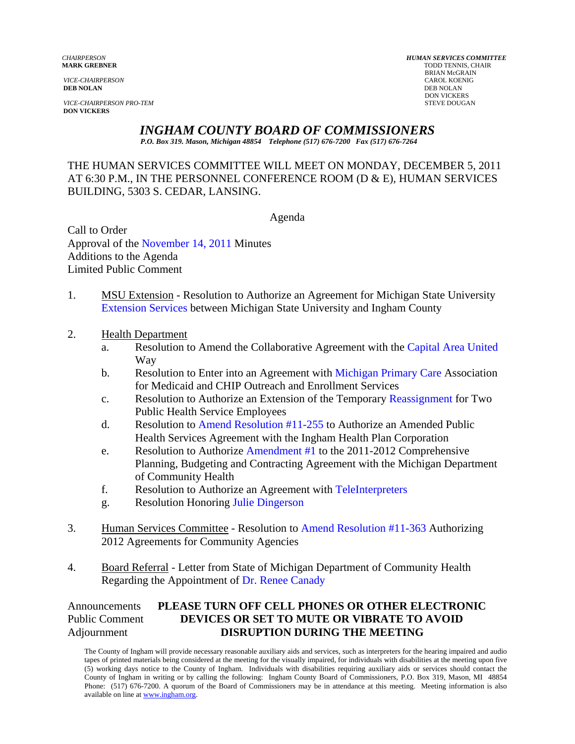**DEB NOLAN** DEB NOLAN

**VICE-CHAIRPERSON PRO-TEM** STEVE DOUGAN **DON VICKERS** 

*CHAIRPERSON HUMAN SERVICES COMMITTEE* **TODD TENNIS, CHAIR** BRIAN McGRAIN *VICE-CHAIRPERSON* CAROL KOENIG **DON VICKERS** 

## *INGHAM COUNTY BOARD OF COMMISSIONERS*

*P.O. Box 319. Mason, Michigan 48854 Telephone (517) 676-7200 Fax (517) 676-7264*

THE HUMAN SERVICES COMMITTEE WILL MEET ON MONDAY, DECEMBER 5, 2011 AT 6:30 P.M., IN THE PERSONNEL CONFERENCE ROOM (D & E), HUMAN SERVICES BUILDING, 5303 S. CEDAR, LANSING.

Agenda

Call to Order Approval of [the November 14, 2011 Minutes](#page-1-0)  Additions to the Agenda Limited Public Comment

- 1. MSU Extension Resolution to Authorize an Agreement for Michigan State University [Extension Services between](#page-9-0) Michigan State University and Ingham County
- 2. Health Department
	- a. Resolution to Amend the Collaborative Agreement with [the Capital Area United](#page-11-0) Way
	- b. Resolution to Enter into an Agreement w[ith Michigan Primary Care A](#page-13-0)ssociation for Medicaid and CHIP Outreach and Enrollment Services
	- c. Resolution to Authorize an Extension of the Temporar[y Reassignment for Two](#page-16-0)  Public Health Service Employees
	- d. Resolution [to Amend Resolution #11-255 to Au](#page-18-0)thorize an Amended Public Health Services Agreement with the Ingham Health Plan Corporation
	- e. Resolution to Authoriz[e Amendment #1 to the 2011](#page-20-0)-2012 Comprehensive Planning, Budgeting and Contracting Agreement with the Michigan Department of Community Health
	- f. Resolution to Authorize an Agreement wi[th TeleInterpreters](#page-23-0)
	- g. Resolution Honori[ng Julie Dingerson](#page-25-0)
- 3. Human Services Committee Resolution [to Amend Resolution #11-363 Authorizi](#page-26-0)ng 2012 Agreements for Community Agencies
- 4. Board Referral Letter from State of Michigan Department of Community Health Regarding the Appointment [of Dr. Renee Canady](#page-27-0)

Announcements **PLEASE TURN OFF CELL PHONES OR OTHER ELECTRONIC** Public Comment **DEVICES OR SET TO MUTE OR VIBRATE TO AVOID** Adjournment **DISRUPTION DURING THE MEETING** 

The County of Ingham will provide necessary reasonable auxiliary aids and services, such as interpreters for the hearing impaired and audio tapes of printed materials being considered at the meeting for the visually impaired, for individuals with disabilities at the meeting upon five (5) working days notice to the County of Ingham. Individuals with disabilities requiring auxiliary aids or services should contact the County of Ingham in writing or by calling the following: Ingham County Board of Commissioners, P.O. Box 319, Mason, MI 48854 Phone: (517) 676-7200. A quorum of the Board of Commissioners may be in attendance at this meeting. Meeting information is also available on line at www.ingham.org.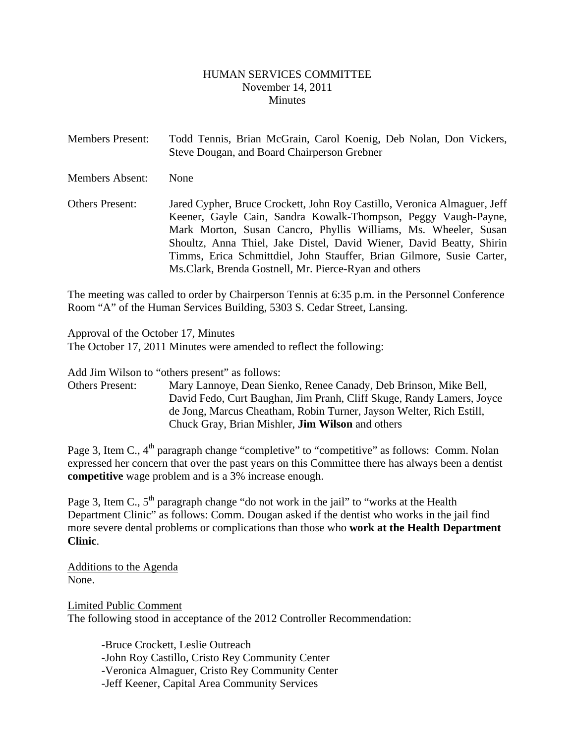#### HUMAN SERVICES COMMITTEE November 14, 2011 **Minutes**

<span id="page-1-0"></span>

| <b>Members Present:</b> | Todd Tennis, Brian McGrain, Carol Koenig, Deb Nolan, Don Vickers,<br>Steve Dougan, and Board Chairperson Grebner                                                                                                                                                                                                                                                                                                         |
|-------------------------|--------------------------------------------------------------------------------------------------------------------------------------------------------------------------------------------------------------------------------------------------------------------------------------------------------------------------------------------------------------------------------------------------------------------------|
| Members Absent:         | None                                                                                                                                                                                                                                                                                                                                                                                                                     |
| <b>Others Present:</b>  | Jared Cypher, Bruce Crockett, John Roy Castillo, Veronica Almaguer, Jeff<br>Keener, Gayle Cain, Sandra Kowalk-Thompson, Peggy Vaugh-Payne,<br>Mark Morton, Susan Cancro, Phyllis Williams, Ms. Wheeler, Susan<br>Shoultz, Anna Thiel, Jake Distel, David Wiener, David Beatty, Shirin<br>Timms, Erica Schmittdiel, John Stauffer, Brian Gilmore, Susie Carter,<br>Ms. Clark, Brenda Gostnell, Mr. Pierce-Ryan and others |

The meeting was called to order by Chairperson Tennis at 6:35 p.m. in the Personnel Conference Room "A" of the Human Services Building, 5303 S. Cedar Street, Lansing.

#### Approval of the October 17, Minutes

The October 17, 2011 Minutes were amended to reflect the following:

Add Jim Wilson to "others present" as follows:

Others Present: Mary Lannoye, Dean Sienko, Renee Canady, Deb Brinson, Mike Bell, David Fedo, Curt Baughan, Jim Pranh, Cliff Skuge, Randy Lamers, Joyce de Jong, Marcus Cheatham, Robin Turner, Jayson Welter, Rich Estill, Chuck Gray, Brian Mishler, **Jim Wilson** and others

Page 3, Item C.,  $4<sup>th</sup>$  paragraph change "completive" to "competitive" as follows: Comm. Nolan expressed her concern that over the past years on this Committee there has always been a dentist **competitive** wage problem and is a 3% increase enough.

Page 3, Item C.,  $5<sup>th</sup>$  paragraph change "do not work in the jail" to "works at the Health Department Clinic" as follows: Comm. Dougan asked if the dentist who works in the jail find more severe dental problems or complications than those who **work at the Health Department Clinic**.

Additions to the Agenda None.

Limited Public Comment The following stood in acceptance of the 2012 Controller Recommendation:

-Bruce Crockett, Leslie Outreach -John Roy Castillo, Cristo Rey Community Center -Veronica Almaguer, Cristo Rey Community Center -Jeff Keener, Capital Area Community Services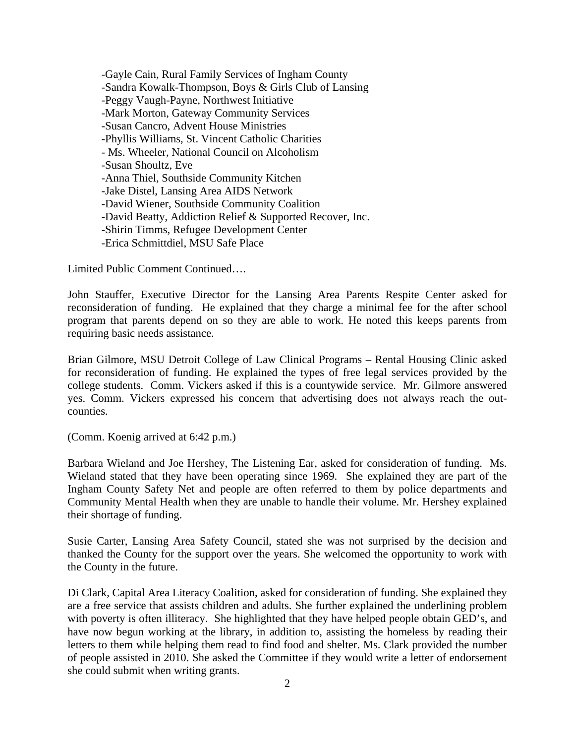-Gayle Cain, Rural Family Services of Ingham County -Sandra Kowalk-Thompson, Boys & Girls Club of Lansing -Peggy Vaugh-Payne, Northwest Initiative -Mark Morton, Gateway Community Services -Susan Cancro, Advent House Ministries -Phyllis Williams, St. Vincent Catholic Charities - Ms. Wheeler, National Council on Alcoholism -Susan Shoultz, Eve -Anna Thiel, Southside Community Kitchen -Jake Distel, Lansing Area AIDS Network -David Wiener, Southside Community Coalition -David Beatty, Addiction Relief & Supported Recover, Inc. -Shirin Timms, Refugee Development Center -Erica Schmittdiel, MSU Safe Place

Limited Public Comment Continued….

John Stauffer, Executive Director for the Lansing Area Parents Respite Center asked for reconsideration of funding. He explained that they charge a minimal fee for the after school program that parents depend on so they are able to work. He noted this keeps parents from requiring basic needs assistance.

Brian Gilmore, MSU Detroit College of Law Clinical Programs – Rental Housing Clinic asked for reconsideration of funding. He explained the types of free legal services provided by the college students. Comm. Vickers asked if this is a countywide service. Mr. Gilmore answered yes. Comm. Vickers expressed his concern that advertising does not always reach the outcounties.

(Comm. Koenig arrived at 6:42 p.m.)

Barbara Wieland and Joe Hershey, The Listening Ear, asked for consideration of funding. Ms. Wieland stated that they have been operating since 1969. She explained they are part of the Ingham County Safety Net and people are often referred to them by police departments and Community Mental Health when they are unable to handle their volume. Mr. Hershey explained their shortage of funding.

Susie Carter, Lansing Area Safety Council, stated she was not surprised by the decision and thanked the County for the support over the years. She welcomed the opportunity to work with the County in the future.

Di Clark, Capital Area Literacy Coalition, asked for consideration of funding. She explained they are a free service that assists children and adults. She further explained the underlining problem with poverty is often illiteracy. She highlighted that they have helped people obtain GED's, and have now begun working at the library, in addition to, assisting the homeless by reading their letters to them while helping them read to find food and shelter. Ms. Clark provided the number of people assisted in 2010. She asked the Committee if they would write a letter of endorsement she could submit when writing grants.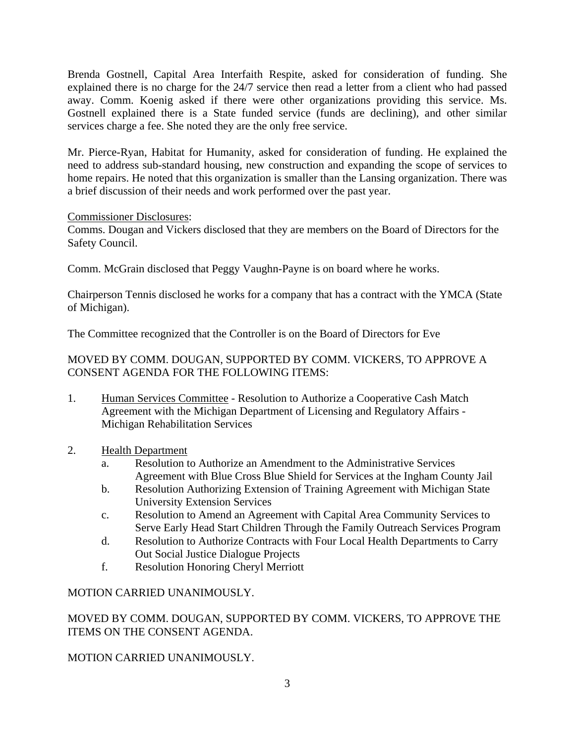Brenda Gostnell, Capital Area Interfaith Respite, asked for consideration of funding. She explained there is no charge for the 24/7 service then read a letter from a client who had passed away. Comm. Koenig asked if there were other organizations providing this service. Ms. Gostnell explained there is a State funded service (funds are declining), and other similar services charge a fee. She noted they are the only free service.

Mr. Pierce-Ryan, Habitat for Humanity, asked for consideration of funding. He explained the need to address sub-standard housing, new construction and expanding the scope of services to home repairs. He noted that this organization is smaller than the Lansing organization. There was a brief discussion of their needs and work performed over the past year.

#### Commissioner Disclosures:

Comms. Dougan and Vickers disclosed that they are members on the Board of Directors for the Safety Council.

Comm. McGrain disclosed that Peggy Vaughn-Payne is on board where he works.

Chairperson Tennis disclosed he works for a company that has a contract with the YMCA (State of Michigan).

The Committee recognized that the Controller is on the Board of Directors for Eve

#### MOVED BY COMM. DOUGAN, SUPPORTED BY COMM. VICKERS, TO APPROVE A CONSENT AGENDA FOR THE FOLLOWING ITEMS:

- 1. Human Services Committee Resolution to Authorize a Cooperative Cash Match Agreement with the Michigan Department of Licensing and Regulatory Affairs - Michigan Rehabilitation Services
- 2. Health Department
	- a. Resolution to Authorize an Amendment to the Administrative Services Agreement with Blue Cross Blue Shield for Services at the Ingham County Jail
	- b. Resolution Authorizing Extension of Training Agreement with Michigan State University Extension Services
	- c. Resolution to Amend an Agreement with Capital Area Community Services to Serve Early Head Start Children Through the Family Outreach Services Program
	- d. Resolution to Authorize Contracts with Four Local Health Departments to Carry Out Social Justice Dialogue Projects
	- f. Resolution Honoring Cheryl Merriott

## MOTION CARRIED UNANIMOUSLY.

MOVED BY COMM. DOUGAN, SUPPORTED BY COMM. VICKERS, TO APPROVE THE ITEMS ON THE CONSENT AGENDA.

## MOTION CARRIED UNANIMOUSLY.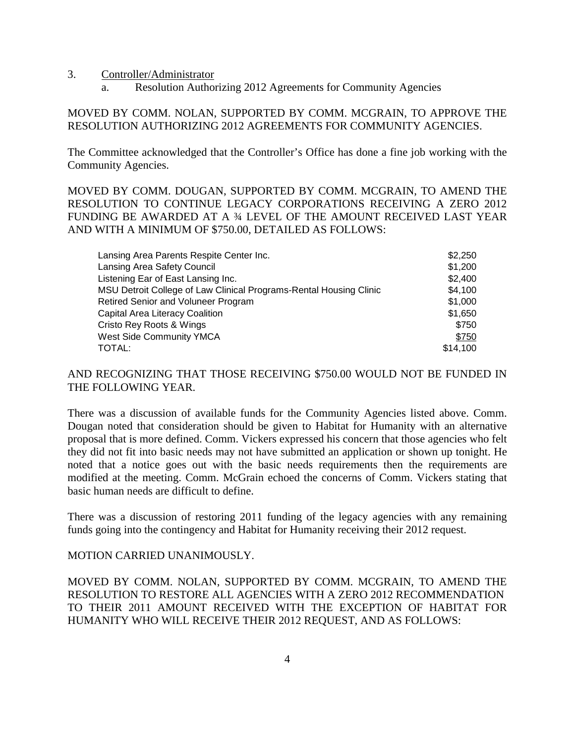3. Controller/Administrator

a. Resolution Authorizing 2012 Agreements for Community Agencies

#### MOVED BY COMM. NOLAN, SUPPORTED BY COMM. MCGRAIN, TO APPROVE THE RESOLUTION AUTHORIZING 2012 AGREEMENTS FOR COMMUNITY AGENCIES.

The Committee acknowledged that the Controller's Office has done a fine job working with the Community Agencies.

MOVED BY COMM. DOUGAN, SUPPORTED BY COMM. MCGRAIN, TO AMEND THE RESOLUTION TO CONTINUE LEGACY CORPORATIONS RECEIVING A ZERO 2012 FUNDING BE AWARDED AT A ¾ LEVEL OF THE AMOUNT RECEIVED LAST YEAR AND WITH A MINIMUM OF \$750.00, DETAILED AS FOLLOWS:

| Lansing Area Parents Respite Center Inc.                           | \$2,250  |
|--------------------------------------------------------------------|----------|
| Lansing Area Safety Council                                        | \$1,200  |
| Listening Ear of East Lansing Inc.                                 | \$2,400  |
| MSU Detroit College of Law Clinical Programs-Rental Housing Clinic | \$4,100  |
| <b>Retired Senior and Voluneer Program</b>                         | \$1,000  |
| <b>Capital Area Literacy Coalition</b>                             | \$1.650  |
| Cristo Rey Roots & Wings                                           | \$750    |
| <b>West Side Community YMCA</b>                                    | \$750    |
| TOTAL:                                                             | \$14,100 |

#### AND RECOGNIZING THAT THOSE RECEIVING \$750.00 WOULD NOT BE FUNDED IN THE FOLLOWING YEAR.

There was a discussion of available funds for the Community Agencies listed above. Comm. Dougan noted that consideration should be given to Habitat for Humanity with an alternative proposal that is more defined. Comm. Vickers expressed his concern that those agencies who felt they did not fit into basic needs may not have submitted an application or shown up tonight. He noted that a notice goes out with the basic needs requirements then the requirements are modified at the meeting. Comm. McGrain echoed the concerns of Comm. Vickers stating that basic human needs are difficult to define.

There was a discussion of restoring 2011 funding of the legacy agencies with any remaining funds going into the contingency and Habitat for Humanity receiving their 2012 request.

#### MOTION CARRIED UNANIMOUSLY.

MOVED BY COMM. NOLAN, SUPPORTED BY COMM. MCGRAIN, TO AMEND THE RESOLUTION TO RESTORE ALL AGENCIES WITH A ZERO 2012 RECOMMENDATION TO THEIR 2011 AMOUNT RECEIVED WITH THE EXCEPTION OF HABITAT FOR HUMANITY WHO WILL RECEIVE THEIR 2012 REQUEST, AND AS FOLLOWS: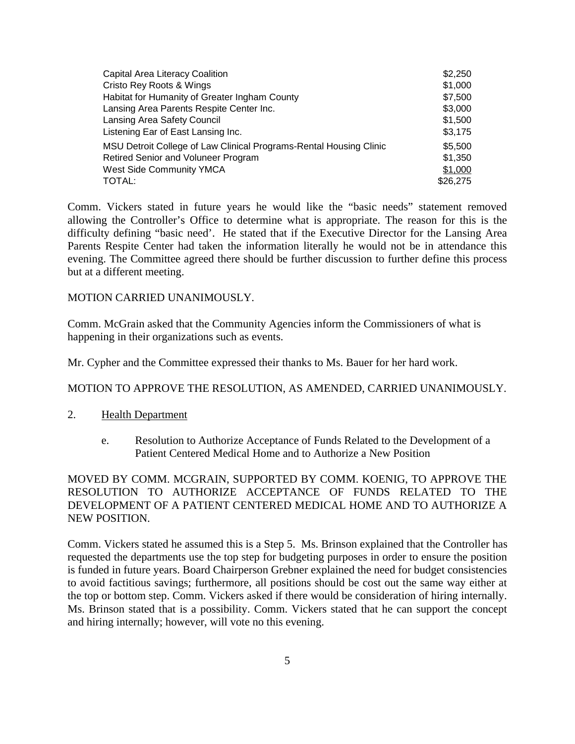| Capital Area Literacy Coalition                                    | \$2,250  |
|--------------------------------------------------------------------|----------|
| Cristo Rey Roots & Wings                                           | \$1,000  |
| Habitat for Humanity of Greater Ingham County                      | \$7,500  |
| Lansing Area Parents Respite Center Inc.                           | \$3,000  |
| Lansing Area Safety Council                                        | \$1,500  |
| Listening Ear of East Lansing Inc.                                 | \$3,175  |
| MSU Detroit College of Law Clinical Programs-Rental Housing Clinic | \$5,500  |
| Retired Senior and Voluneer Program                                | \$1,350  |
| <b>West Side Community YMCA</b>                                    | \$1,000  |
| TOTAL:                                                             | \$26,275 |

Comm. Vickers stated in future years he would like the "basic needs" statement removed allowing the Controller's Office to determine what is appropriate. The reason for this is the difficulty defining "basic need'. He stated that if the Executive Director for the Lansing Area Parents Respite Center had taken the information literally he would not be in attendance this evening. The Committee agreed there should be further discussion to further define this process but at a different meeting.

#### MOTION CARRIED UNANIMOUSLY.

Comm. McGrain asked that the Community Agencies inform the Commissioners of what is happening in their organizations such as events.

Mr. Cypher and the Committee expressed their thanks to Ms. Bauer for her hard work.

#### MOTION TO APPROVE THE RESOLUTION, AS AMENDED, CARRIED UNANIMOUSLY.

- 2. Health Department
	- e. Resolution to Authorize Acceptance of Funds Related to the Development of a Patient Centered Medical Home and to Authorize a New Position

MOVED BY COMM. MCGRAIN, SUPPORTED BY COMM. KOENIG, TO APPROVE THE RESOLUTION TO AUTHORIZE ACCEPTANCE OF FUNDS RELATED TO THE DEVELOPMENT OF A PATIENT CENTERED MEDICAL HOME AND TO AUTHORIZE A NEW POSITION.

Comm. Vickers stated he assumed this is a Step 5. Ms. Brinson explained that the Controller has requested the departments use the top step for budgeting purposes in order to ensure the position is funded in future years. Board Chairperson Grebner explained the need for budget consistencies to avoid factitious savings; furthermore, all positions should be cost out the same way either at the top or bottom step. Comm. Vickers asked if there would be consideration of hiring internally. Ms. Brinson stated that is a possibility. Comm. Vickers stated that he can support the concept and hiring internally; however, will vote no this evening.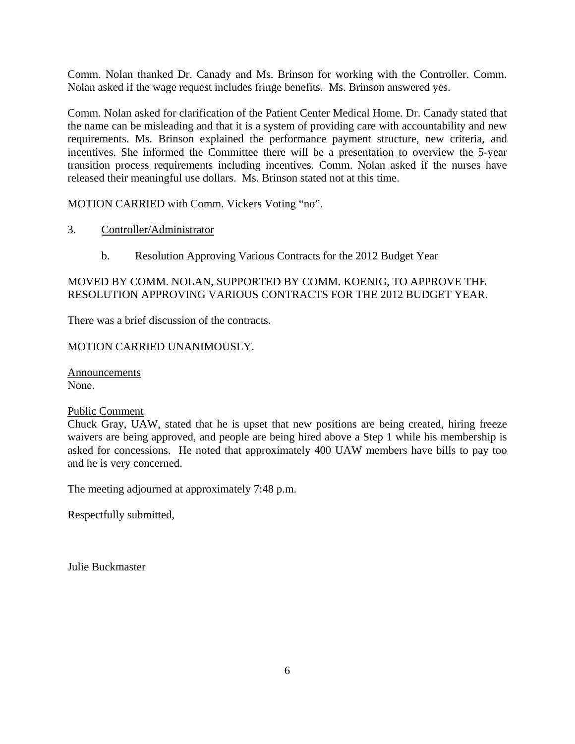Comm. Nolan thanked Dr. Canady and Ms. Brinson for working with the Controller. Comm. Nolan asked if the wage request includes fringe benefits. Ms. Brinson answered yes.

Comm. Nolan asked for clarification of the Patient Center Medical Home. Dr. Canady stated that the name can be misleading and that it is a system of providing care with accountability and new requirements. Ms. Brinson explained the performance payment structure, new criteria, and incentives. She informed the Committee there will be a presentation to overview the 5-year transition process requirements including incentives. Comm. Nolan asked if the nurses have released their meaningful use dollars. Ms. Brinson stated not at this time.

MOTION CARRIED with Comm. Vickers Voting "no".

- 3. Controller/Administrator
	- b. Resolution Approving Various Contracts for the 2012 Budget Year

#### MOVED BY COMM. NOLAN, SUPPORTED BY COMM. KOENIG, TO APPROVE THE RESOLUTION APPROVING VARIOUS CONTRACTS FOR THE 2012 BUDGET YEAR.

There was a brief discussion of the contracts.

#### MOTION CARRIED UNANIMOUSLY.

Announcements None.

#### Public Comment

Chuck Gray, UAW, stated that he is upset that new positions are being created, hiring freeze waivers are being approved, and people are being hired above a Step 1 while his membership is asked for concessions. He noted that approximately 400 UAW members have bills to pay too and he is very concerned.

The meeting adjourned at approximately 7:48 p.m.

Respectfully submitted,

Julie Buckmaster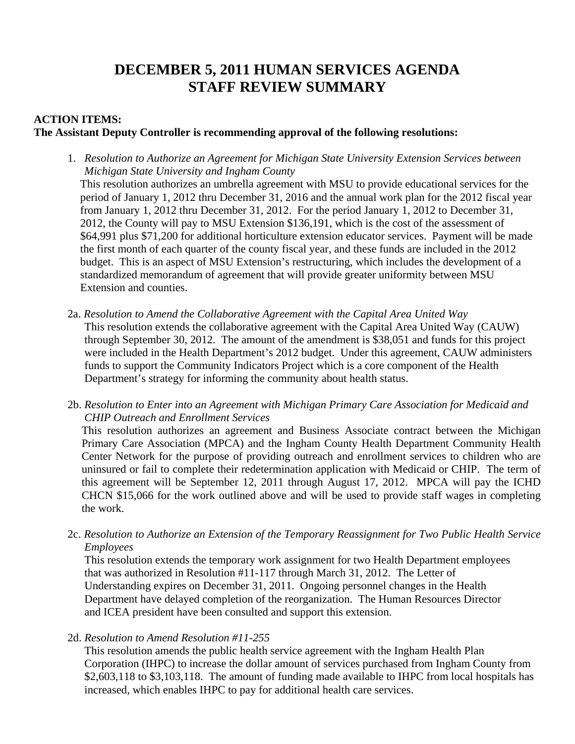# **DECEMBER 5, 2011 HUMAN SERVICES AGENDA STAFF REVIEW SUMMARY**

## **ACTION ITEMS: The Assistant Deputy Controller is recommending approval of the following resolutions:**

1. *Resolution to Authorize an Agreement for Michigan State University Extension Services between Michigan State University and Ingham County*

This resolution authorizes an umbrella agreement with MSU to provide educational services for the period of January 1, 2012 thru December 31, 2016 and the annual work plan for the 2012 fiscal year from January 1, 2012 thru December 31, 2012. For the period January 1, 2012 to December 31, 2012, the County will pay to MSU Extension \$136,191, which is the cost of the assessment of \$64,991 plus \$71,200 for additional horticulture extension educator services. Payment will be made the first month of each quarter of the county fiscal year, and these funds are included in the 2012 budget. This is an aspect of MSU Extension's restructuring, which includes the development of a standardized memorandum of agreement that will provide greater uniformity between MSU Extension and counties.

- 2a. *Resolution to Amend the Collaborative Agreement with the Capital Area United Way*  This resolution extends the collaborative agreement with the Capital Area United Way (CAUW) through September 30, 2012. The amount of the amendment is \$38,051 and funds for this project were included in the Health Department's 2012 budget. Under this agreement, CAUW administers funds to support the Community Indicators Project which is a core component of the Health Department's strategy for informing the community about health status.
- 2b. *Resolution to Enter into an Agreement with Michigan Primary Care Association for Medicaid and CHIP Outreach and Enrollment Services*

This resolution authorizes an agreement and Business Associate contract between the Michigan Primary Care Association (MPCA) and the Ingham County Health Department Community Health Center Network for the purpose of providing outreach and enrollment services to children who are uninsured or fail to complete their redetermination application with Medicaid or CHIP. The term of this agreement will be September 12, 2011 through August 17, 2012. MPCA will pay the ICHD CHCN \$15,066 for the work outlined above and will be used to provide staff wages in completing the work.

2c. *Resolution to Authorize an Extension of the Temporary Reassignment for Two Public Health Service Employees* 

This resolution extends the temporary work assignment for two Health Department employees that was authorized in Resolution #11-117 through March 31, 2012. The Letter of Understanding expires on December 31, 2011. Ongoing personnel changes in the Health Department have delayed completion of the reorganization. The Human Resources Director and ICEA president have been consulted and support this extension.

2d. *Resolution to Amend Resolution #11-255* 

This resolution amends the public health service agreement with the Ingham Health Plan Corporation (IHPC) to increase the dollar amount of services purchased from Ingham County from \$2,603,118 to \$3,103,118. The amount of funding made available to IHPC from local hospitals has increased, which enables IHPC to pay for additional health care services.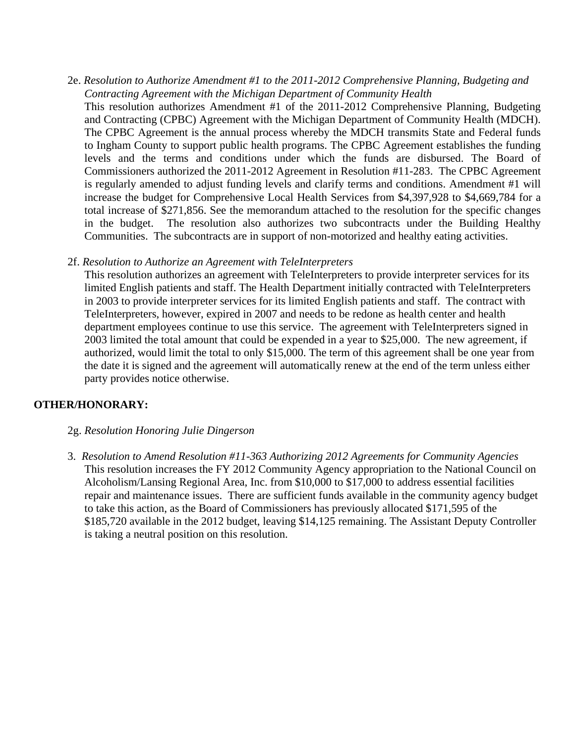- 2e. *Resolution to Authorize Amendment #1 to the 2011-2012 Comprehensive Planning, Budgeting and Contracting Agreement with the Michigan Department of Community Health* 
	- This resolution authorizes Amendment #1 of the 2011-2012 Comprehensive Planning, Budgeting and Contracting (CPBC) Agreement with the Michigan Department of Community Health (MDCH). The CPBC Agreement is the annual process whereby the MDCH transmits State and Federal funds to Ingham County to support public health programs. The CPBC Agreement establishes the funding levels and the terms and conditions under which the funds are disbursed. The Board of Commissioners authorized the 2011-2012 Agreement in Resolution #11-283. The CPBC Agreement is regularly amended to adjust funding levels and clarify terms and conditions. Amendment #1 will increase the budget for Comprehensive Local Health Services from \$4,397,928 to \$4,669,784 for a total increase of \$271,856. See the memorandum attached to the resolution for the specific changes in the budget. The resolution also authorizes two subcontracts under the Building Healthy Communities. The subcontracts are in support of non-motorized and healthy eating activities.
- 2f. *Resolution to Authorize an Agreement with TeleInterpreters*

This resolution authorizes an agreement with TeleInterpreters to provide interpreter services for its limited English patients and staff. The Health Department initially contracted with TeleInterpreters in 2003 to provide interpreter services for its limited English patients and staff. The contract with TeleInterpreters, however, expired in 2007 and needs to be redone as health center and health department employees continue to use this service. The agreement with TeleInterpreters signed in 2003 limited the total amount that could be expended in a year to \$25,000. The new agreement, if authorized, would limit the total to only \$15,000. The term of this agreement shall be one year from the date it is signed and the agreement will automatically renew at the end of the term unless either party provides notice otherwise.

## **OTHER/HONORARY:**

- 2g. *Resolution Honoring Julie Dingerson*
- 3. *Resolution to Amend Resolution #11-363 Authorizing 2012 Agreements for Community Agencies* This resolution increases the FY 2012 Community Agency appropriation to the National Council on Alcoholism/Lansing Regional Area, Inc. from \$10,000 to \$17,000 to address essential facilities repair and maintenance issues. There are sufficient funds available in the community agency budget to take this action, as the Board of Commissioners has previously allocated \$171,595 of the \$185,720 available in the 2012 budget, leaving \$14,125 remaining. The Assistant Deputy Controller is taking a neutral position on this resolution.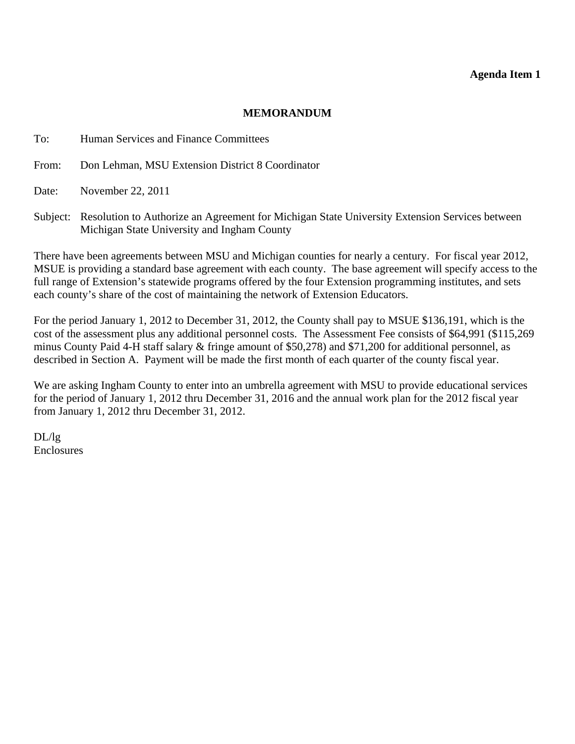#### **Agenda Item 1**

#### **MEMORANDUM**

<span id="page-9-0"></span>To: Human Services and Finance Committees

From: Don Lehman, MSU Extension District 8 Coordinator

Date: November 22, 2011

Subject: Resolution to Authorize an Agreement for Michigan State University Extension Services between Michigan State University and Ingham County

There have been agreements between MSU and Michigan counties for nearly a century. For fiscal year 2012, MSUE is providing a standard base agreement with each county. The base agreement will specify access to the full range of Extension's statewide programs offered by the four Extension programming institutes, and sets each county's share of the cost of maintaining the network of Extension Educators.

For the period January 1, 2012 to December 31, 2012, the County shall pay to MSUE \$136,191, which is the cost of the assessment plus any additional personnel costs. The Assessment Fee consists of \$64,991 (\$115,269 minus County Paid 4-H staff salary & fringe amount of \$50,278) and \$71,200 for additional personnel, as described in Section A. Payment will be made the first month of each quarter of the county fiscal year.

We are asking Ingham County to enter into an umbrella agreement with MSU to provide educational services for the period of January 1, 2012 thru December 31, 2016 and the annual work plan for the 2012 fiscal year from January 1, 2012 thru December 31, 2012.

DL/lg Enclosures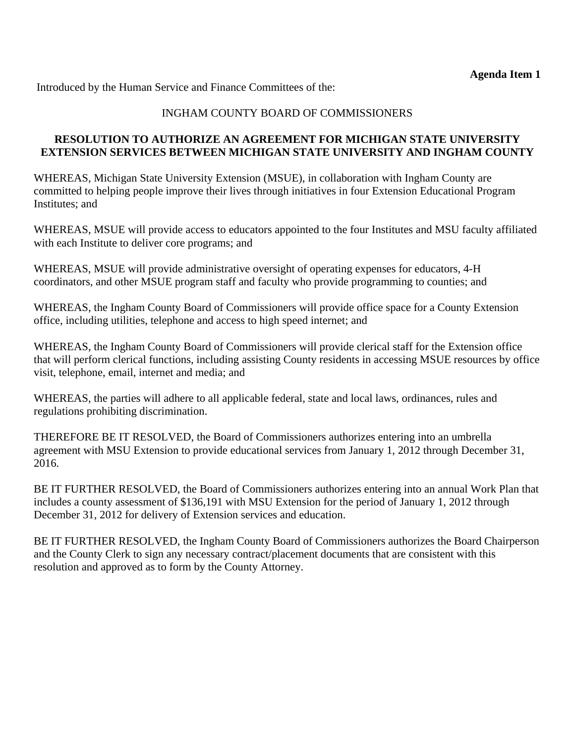#### INGHAM COUNTY BOARD OF COMMISSIONERS

#### **RESOLUTION TO AUTHORIZE AN AGREEMENT FOR MICHIGAN STATE UNIVERSITY EXTENSION SERVICES BETWEEN MICHIGAN STATE UNIVERSITY AND INGHAM COUNTY**

WHEREAS, Michigan State University Extension (MSUE), in collaboration with Ingham County are committed to helping people improve their lives through initiatives in four Extension Educational Program Institutes; and

WHEREAS, MSUE will provide access to educators appointed to the four Institutes and MSU faculty affiliated with each Institute to deliver core programs; and

WHEREAS, MSUE will provide administrative oversight of operating expenses for educators, 4-H coordinators, and other MSUE program staff and faculty who provide programming to counties; and

WHEREAS, the Ingham County Board of Commissioners will provide office space for a County Extension office, including utilities, telephone and access to high speed internet; and

WHEREAS, the Ingham County Board of Commissioners will provide clerical staff for the Extension office that will perform clerical functions, including assisting County residents in accessing MSUE resources by office visit, telephone, email, internet and media; and

WHEREAS, the parties will adhere to all applicable federal, state and local laws, ordinances, rules and regulations prohibiting discrimination.

THEREFORE BE IT RESOLVED, the Board of Commissioners authorizes entering into an umbrella agreement with MSU Extension to provide educational services from January 1, 2012 through December 31, 2016.

BE IT FURTHER RESOLVED, the Board of Commissioners authorizes entering into an annual Work Plan that includes a county assessment of \$136,191 with MSU Extension for the period of January 1, 2012 through December 31, 2012 for delivery of Extension services and education.

BE IT FURTHER RESOLVED, the Ingham County Board of Commissioners authorizes the Board Chairperson and the County Clerk to sign any necessary contract/placement documents that are consistent with this resolution and approved as to form by the County Attorney.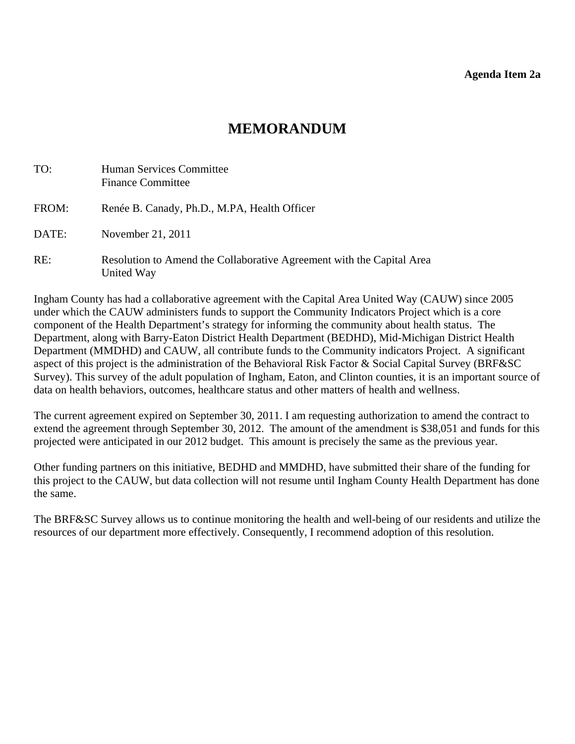#### **Agenda Item 2a**

## **MEMORANDUM**

<span id="page-11-0"></span>

| TO:   | Human Services Committee<br><b>Finance Committee</b>                                |
|-------|-------------------------------------------------------------------------------------|
| FROM: | Renée B. Canady, Ph.D., M.PA, Health Officer                                        |
| DATE: | November 21, 2011                                                                   |
| RE:   | Resolution to Amend the Collaborative Agreement with the Capital Area<br>United Way |

Ingham County has had a collaborative agreement with the Capital Area United Way (CAUW) since 2005 under which the CAUW administers funds to support the Community Indicators Project which is a core component of the Health Department's strategy for informing the community about health status. The Department, along with Barry-Eaton District Health Department (BEDHD), Mid-Michigan District Health Department (MMDHD) and CAUW, all contribute funds to the Community indicators Project. A significant aspect of this project is the administration of the Behavioral Risk Factor & Social Capital Survey (BRF&SC Survey). This survey of the adult population of Ingham, Eaton, and Clinton counties, it is an important source of data on health behaviors, outcomes, healthcare status and other matters of health and wellness.

The current agreement expired on September 30, 2011. I am requesting authorization to amend the contract to extend the agreement through September 30, 2012. The amount of the amendment is \$38,051 and funds for this projected were anticipated in our 2012 budget. This amount is precisely the same as the previous year.

Other funding partners on this initiative, BEDHD and MMDHD, have submitted their share of the funding for this project to the CAUW, but data collection will not resume until Ingham County Health Department has done the same.

The BRF&SC Survey allows us to continue monitoring the health and well-being of our residents and utilize the resources of our department more effectively. Consequently, I recommend adoption of this resolution.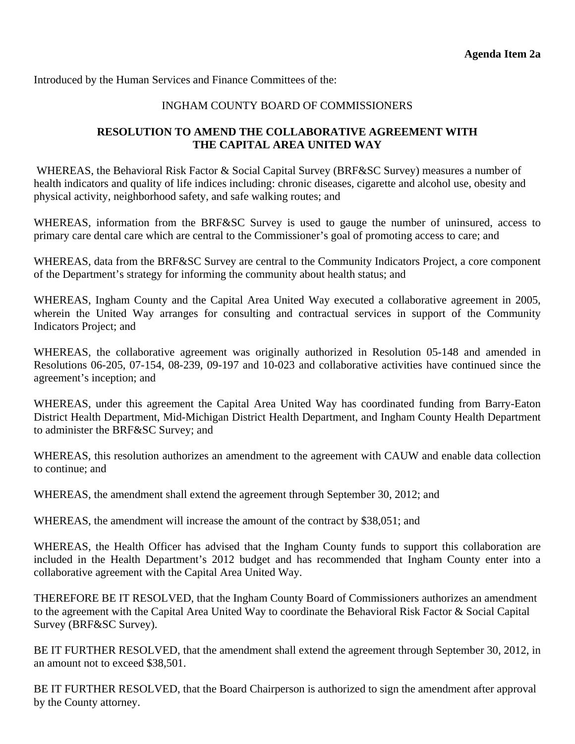#### INGHAM COUNTY BOARD OF COMMISSIONERS

## **RESOLUTION TO AMEND THE COLLABORATIVE AGREEMENT WITH THE CAPITAL AREA UNITED WAY**

WHEREAS, the Behavioral Risk Factor & Social Capital Survey (BRF&SC Survey) measures a number of health indicators and quality of life indices including: chronic diseases, cigarette and alcohol use, obesity and physical activity, neighborhood safety, and safe walking routes; and

WHEREAS, information from the BRF&SC Survey is used to gauge the number of uninsured, access to primary care dental care which are central to the Commissioner's goal of promoting access to care; and

WHEREAS, data from the BRF&SC Survey are central to the Community Indicators Project, a core component of the Department's strategy for informing the community about health status; and

WHEREAS, Ingham County and the Capital Area United Way executed a collaborative agreement in 2005, wherein the United Way arranges for consulting and contractual services in support of the Community Indicators Project; and

WHEREAS, the collaborative agreement was originally authorized in Resolution 05-148 and amended in Resolutions 06-205, 07-154, 08-239, 09-197 and 10-023 and collaborative activities have continued since the agreement's inception; and

WHEREAS, under this agreement the Capital Area United Way has coordinated funding from Barry-Eaton District Health Department, Mid-Michigan District Health Department, and Ingham County Health Department to administer the BRF&SC Survey; and

WHEREAS, this resolution authorizes an amendment to the agreement with CAUW and enable data collection to continue; and

WHEREAS, the amendment shall extend the agreement through September 30, 2012; and

WHEREAS, the amendment will increase the amount of the contract by \$38,051; and

WHEREAS, the Health Officer has advised that the Ingham County funds to support this collaboration are included in the Health Department's 2012 budget and has recommended that Ingham County enter into a collaborative agreement with the Capital Area United Way.

THEREFORE BE IT RESOLVED, that the Ingham County Board of Commissioners authorizes an amendment to the agreement with the Capital Area United Way to coordinate the Behavioral Risk Factor & Social Capital Survey (BRF&SC Survey).

BE IT FURTHER RESOLVED, that the amendment shall extend the agreement through September 30, 2012, in an amount not to exceed \$38,501.

BE IT FURTHER RESOLVED, that the Board Chairperson is authorized to sign the amendment after approval by the County attorney.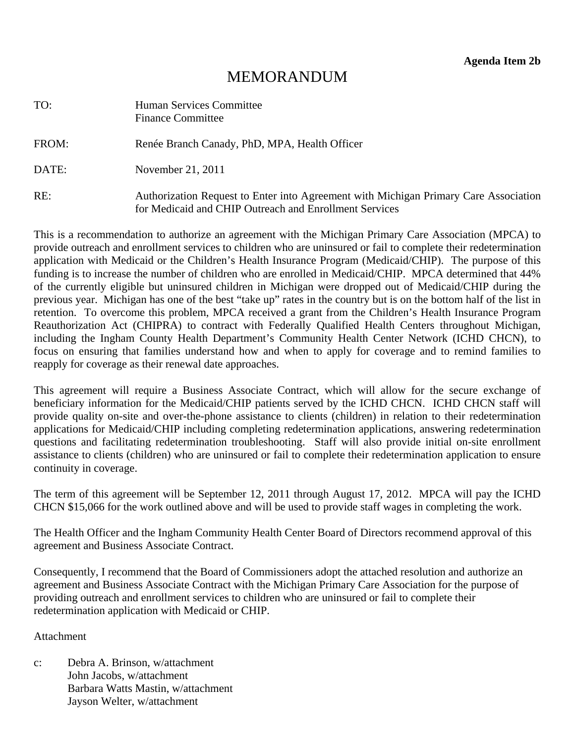# **MEMORANDUM**

<span id="page-13-0"></span>

| TO:   | Human Services Committee<br><b>Finance Committee</b>                                                                                           |
|-------|------------------------------------------------------------------------------------------------------------------------------------------------|
| FROM: | Renée Branch Canady, PhD, MPA, Health Officer                                                                                                  |
| DATE: | November 21, 2011                                                                                                                              |
| RE:   | Authorization Request to Enter into Agreement with Michigan Primary Care Association<br>for Medicaid and CHIP Outreach and Enrollment Services |

This is a recommendation to authorize an agreement with the Michigan Primary Care Association (MPCA) to provide outreach and enrollment services to children who are uninsured or fail to complete their redetermination application with Medicaid or the Children's Health Insurance Program (Medicaid/CHIP). The purpose of this funding is to increase the number of children who are enrolled in Medicaid/CHIP. MPCA determined that 44% of the currently eligible but uninsured children in Michigan were dropped out of Medicaid/CHIP during the previous year. Michigan has one of the best "take up" rates in the country but is on the bottom half of the list in retention. To overcome this problem, MPCA received a grant from the Children's Health Insurance Program Reauthorization Act (CHIPRA) to contract with Federally Qualified Health Centers throughout Michigan, including the Ingham County Health Department's Community Health Center Network (ICHD CHCN), to focus on ensuring that families understand how and when to apply for coverage and to remind families to reapply for coverage as their renewal date approaches.

This agreement will require a Business Associate Contract, which will allow for the secure exchange of beneficiary information for the Medicaid/CHIP patients served by the ICHD CHCN. ICHD CHCN staff will provide quality on-site and over-the-phone assistance to clients (children) in relation to their redetermination applications for Medicaid/CHIP including completing redetermination applications, answering redetermination questions and facilitating redetermination troubleshooting. Staff will also provide initial on-site enrollment assistance to clients (children) who are uninsured or fail to complete their redetermination application to ensure continuity in coverage.

The term of this agreement will be September 12, 2011 through August 17, 2012. MPCA will pay the ICHD CHCN \$15,066 for the work outlined above and will be used to provide staff wages in completing the work.

The Health Officer and the Ingham Community Health Center Board of Directors recommend approval of this agreement and Business Associate Contract.

Consequently, I recommend that the Board of Commissioners adopt the attached resolution and authorize an agreement and Business Associate Contract with the Michigan Primary Care Association for the purpose of providing outreach and enrollment services to children who are uninsured or fail to complete their redetermination application with Medicaid or CHIP.

Attachment

c: Debra A. Brinson, w/attachment John Jacobs, w/attachment Barbara Watts Mastin, w/attachment Jayson Welter, w/attachment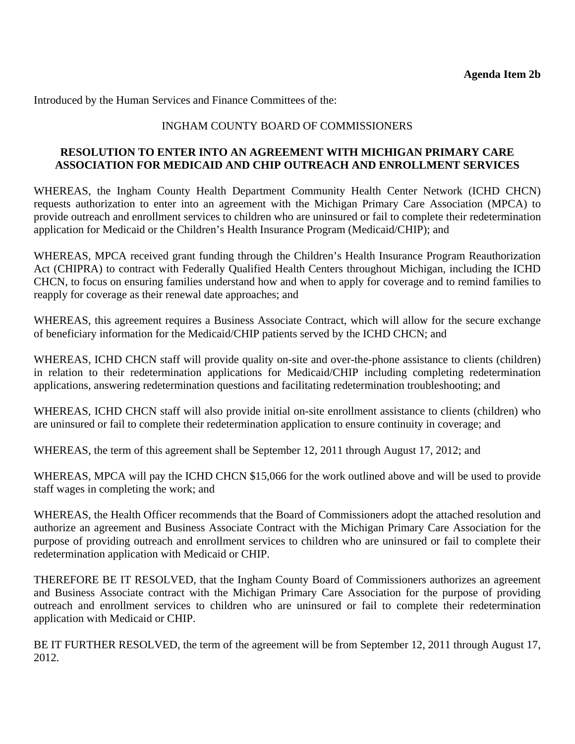#### INGHAM COUNTY BOARD OF COMMISSIONERS

#### **RESOLUTION TO ENTER INTO AN AGREEMENT WITH MICHIGAN PRIMARY CARE ASSOCIATION FOR MEDICAID AND CHIP OUTREACH AND ENROLLMENT SERVICES**

WHEREAS, the Ingham County Health Department Community Health Center Network (ICHD CHCN) requests authorization to enter into an agreement with the Michigan Primary Care Association (MPCA) to provide outreach and enrollment services to children who are uninsured or fail to complete their redetermination application for Medicaid or the Children's Health Insurance Program (Medicaid/CHIP); and

WHEREAS, MPCA received grant funding through the Children's Health Insurance Program Reauthorization Act (CHIPRA) to contract with Federally Qualified Health Centers throughout Michigan, including the ICHD CHCN, to focus on ensuring families understand how and when to apply for coverage and to remind families to reapply for coverage as their renewal date approaches; and

WHEREAS, this agreement requires a Business Associate Contract, which will allow for the secure exchange of beneficiary information for the Medicaid/CHIP patients served by the ICHD CHCN; and

WHEREAS, ICHD CHCN staff will provide quality on-site and over-the-phone assistance to clients (children) in relation to their redetermination applications for Medicaid/CHIP including completing redetermination applications, answering redetermination questions and facilitating redetermination troubleshooting; and

WHEREAS, ICHD CHCN staff will also provide initial on-site enrollment assistance to clients (children) who are uninsured or fail to complete their redetermination application to ensure continuity in coverage; and

WHEREAS, the term of this agreement shall be September 12, 2011 through August 17, 2012; and

WHEREAS, MPCA will pay the ICHD CHCN \$15,066 for the work outlined above and will be used to provide staff wages in completing the work; and

WHEREAS, the Health Officer recommends that the Board of Commissioners adopt the attached resolution and authorize an agreement and Business Associate Contract with the Michigan Primary Care Association for the purpose of providing outreach and enrollment services to children who are uninsured or fail to complete their redetermination application with Medicaid or CHIP.

THEREFORE BE IT RESOLVED, that the Ingham County Board of Commissioners authorizes an agreement and Business Associate contract with the Michigan Primary Care Association for the purpose of providing outreach and enrollment services to children who are uninsured or fail to complete their redetermination application with Medicaid or CHIP.

BE IT FURTHER RESOLVED, the term of the agreement will be from September 12, 2011 through August 17, 2012.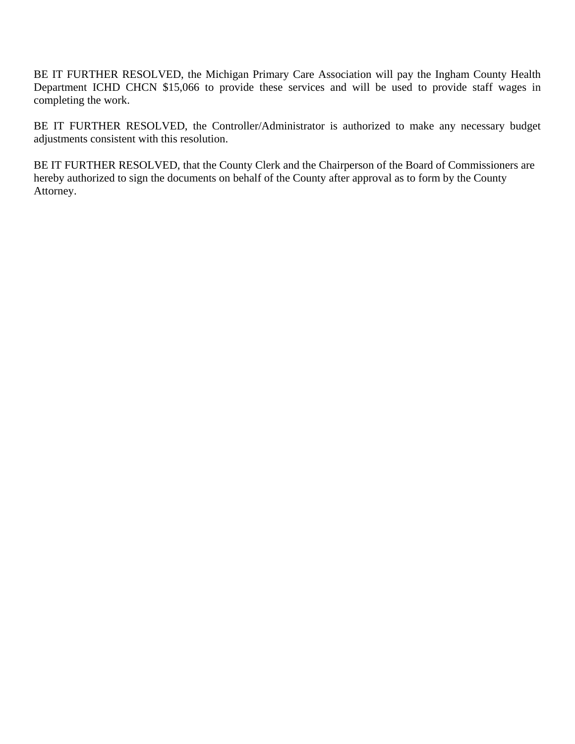BE IT FURTHER RESOLVED, the Michigan Primary Care Association will pay the Ingham County Health Department ICHD CHCN \$15,066 to provide these services and will be used to provide staff wages in completing the work.

BE IT FURTHER RESOLVED, the Controller/Administrator is authorized to make any necessary budget adjustments consistent with this resolution.

BE IT FURTHER RESOLVED, that the County Clerk and the Chairperson of the Board of Commissioners are hereby authorized to sign the documents on behalf of the County after approval as to form by the County Attorney.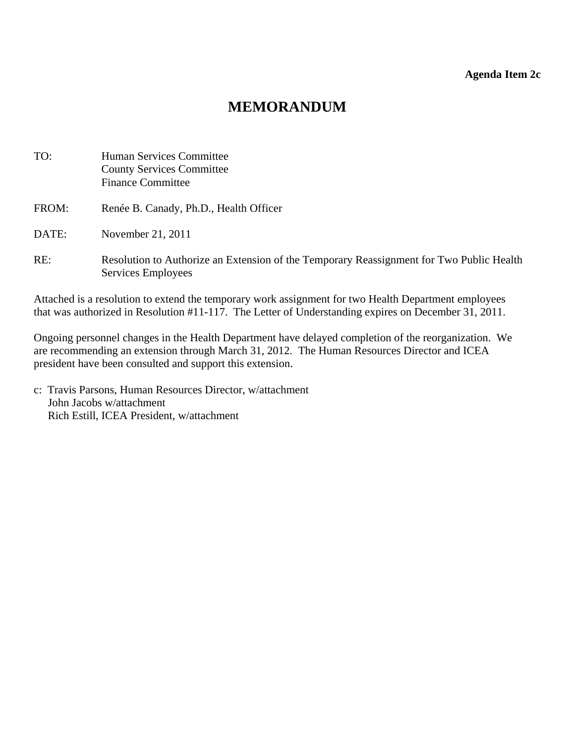#### **Agenda Item 2c**

## **MEMORANDUM**

<span id="page-16-0"></span>

| TO:   | Human Services Committee<br><b>County Services Committee</b><br><b>Finance Committee</b>                       |
|-------|----------------------------------------------------------------------------------------------------------------|
| FROM: | Renée B. Canady, Ph.D., Health Officer                                                                         |
| DATE: | November 21, 2011                                                                                              |
| RE:   | Resolution to Authorize an Extension of the Temporary Reassignment for Two Public Health<br>Services Employees |

Attached is a resolution to extend the temporary work assignment for two Health Department employees that was authorized in Resolution #11-117. The Letter of Understanding expires on December 31, 2011.

Ongoing personnel changes in the Health Department have delayed completion of the reorganization. We are recommending an extension through March 31, 2012. The Human Resources Director and ICEA president have been consulted and support this extension.

c: Travis Parsons, Human Resources Director, w/attachment John Jacobs w/attachment Rich Estill, ICEA President, w/attachment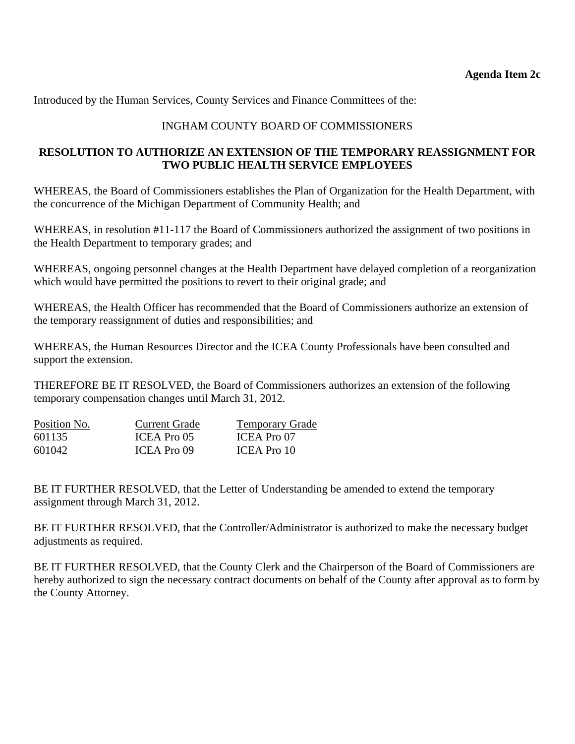Introduced by the Human Services, County Services and Finance Committees of the:

## INGHAM COUNTY BOARD OF COMMISSIONERS

## **RESOLUTION TO AUTHORIZE AN EXTENSION OF THE TEMPORARY REASSIGNMENT FOR TWO PUBLIC HEALTH SERVICE EMPLOYEES**

WHEREAS, the Board of Commissioners establishes the Plan of Organization for the Health Department, with the concurrence of the Michigan Department of Community Health; and

WHEREAS, in resolution #11-117 the Board of Commissioners authorized the assignment of two positions in the Health Department to temporary grades; and

WHEREAS, ongoing personnel changes at the Health Department have delayed completion of a reorganization which would have permitted the positions to revert to their original grade; and

WHEREAS, the Health Officer has recommended that the Board of Commissioners authorize an extension of the temporary reassignment of duties and responsibilities; and

WHEREAS, the Human Resources Director and the ICEA County Professionals have been consulted and support the extension.

THEREFORE BE IT RESOLVED, the Board of Commissioners authorizes an extension of the following temporary compensation changes until March 31, 2012.

| Position No. | <b>Current Grade</b> | <b>Temporary Grade</b> |
|--------------|----------------------|------------------------|
| 601135       | ICEA Pro 05          | ICEA Pro 07            |
| 601042       | ICEA Pro 09          | ICEA Pro 10            |

BE IT FURTHER RESOLVED, that the Letter of Understanding be amended to extend the temporary assignment through March 31, 2012.

BE IT FURTHER RESOLVED, that the Controller/Administrator is authorized to make the necessary budget adjustments as required.

BE IT FURTHER RESOLVED, that the County Clerk and the Chairperson of the Board of Commissioners are hereby authorized to sign the necessary contract documents on behalf of the County after approval as to form by the County Attorney.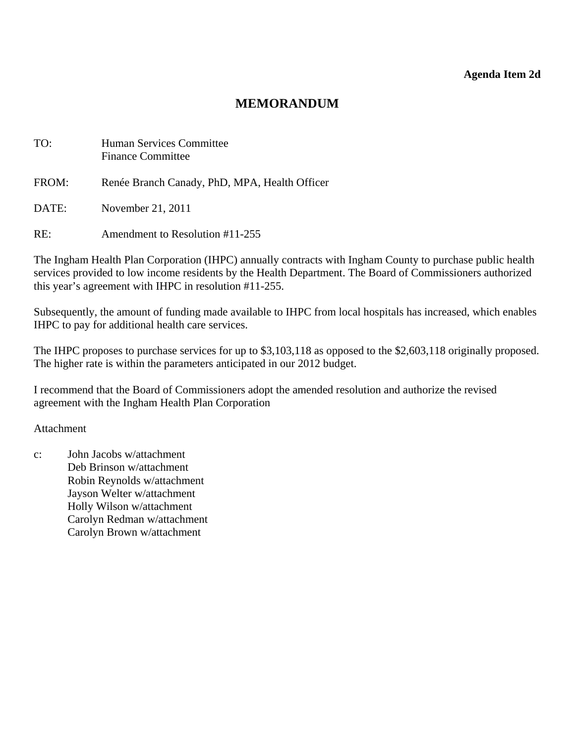#### **Agenda Item 2d**

## **MEMORANDUM**

<span id="page-18-0"></span>

| TO:   | <b>Human Services Committee</b><br><b>Finance Committee</b> |
|-------|-------------------------------------------------------------|
| FROM: | Renée Branch Canady, PhD, MPA, Health Officer               |
| DATE: | November 21, 2011                                           |
| RE:   | Amendment to Resolution #11-255                             |

The Ingham Health Plan Corporation (IHPC) annually contracts with Ingham County to purchase public health services provided to low income residents by the Health Department. The Board of Commissioners authorized this year's agreement with IHPC in resolution #11-255.

Subsequently, the amount of funding made available to IHPC from local hospitals has increased, which enables IHPC to pay for additional health care services.

The IHPC proposes to purchase services for up to \$3,103,118 as opposed to the \$2,603,118 originally proposed. The higher rate is within the parameters anticipated in our 2012 budget.

I recommend that the Board of Commissioners adopt the amended resolution and authorize the revised agreement with the Ingham Health Plan Corporation

Attachment

c: John Jacobs w/attachment Deb Brinson w/attachment Robin Reynolds w/attachment Jayson Welter w/attachment Holly Wilson w/attachment Carolyn Redman w/attachment Carolyn Brown w/attachment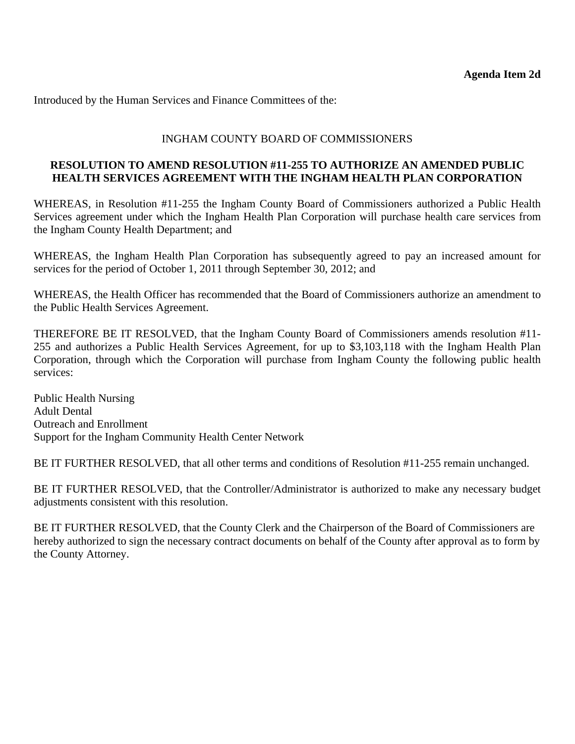#### INGHAM COUNTY BOARD OF COMMISSIONERS

#### **RESOLUTION TO AMEND RESOLUTION #11-255 TO AUTHORIZE AN AMENDED PUBLIC HEALTH SERVICES AGREEMENT WITH THE INGHAM HEALTH PLAN CORPORATION**

WHEREAS, in Resolution #11-255 the Ingham County Board of Commissioners authorized a Public Health Services agreement under which the Ingham Health Plan Corporation will purchase health care services from the Ingham County Health Department; and

WHEREAS, the Ingham Health Plan Corporation has subsequently agreed to pay an increased amount for services for the period of October 1, 2011 through September 30, 2012; and

WHEREAS, the Health Officer has recommended that the Board of Commissioners authorize an amendment to the Public Health Services Agreement.

THEREFORE BE IT RESOLVED, that the Ingham County Board of Commissioners amends resolution #11- 255 and authorizes a Public Health Services Agreement, for up to \$3,103,118 with the Ingham Health Plan Corporation, through which the Corporation will purchase from Ingham County the following public health services:

Public Health Nursing Adult Dental Outreach and Enrollment Support for the Ingham Community Health Center Network

BE IT FURTHER RESOLVED, that all other terms and conditions of Resolution #11-255 remain unchanged.

BE IT FURTHER RESOLVED, that the Controller/Administrator is authorized to make any necessary budget adjustments consistent with this resolution.

BE IT FURTHER RESOLVED, that the County Clerk and the Chairperson of the Board of Commissioners are hereby authorized to sign the necessary contract documents on behalf of the County after approval as to form by the County Attorney.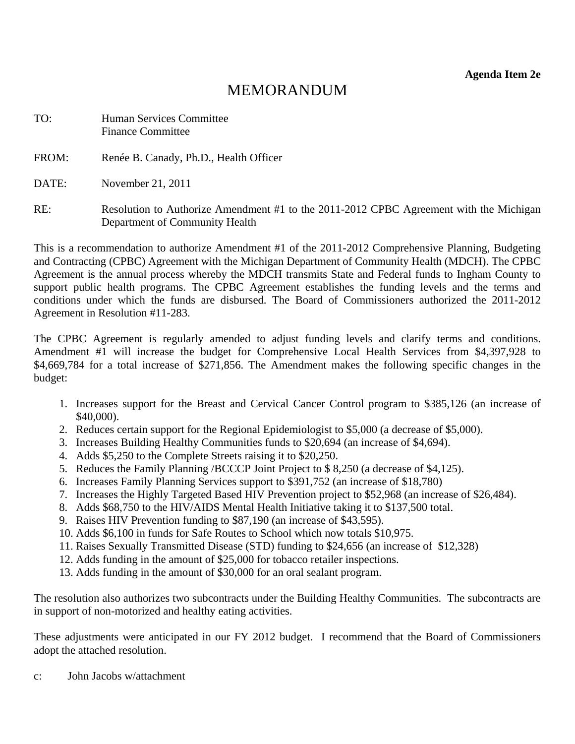**Agenda Item 2e** 

# MEMORANDUM

<span id="page-20-0"></span>

| TO:   | <b>Human Services Committee</b><br><b>Finance Committee</b>                                                              |
|-------|--------------------------------------------------------------------------------------------------------------------------|
| FROM: | Renée B. Canady, Ph.D., Health Officer                                                                                   |
| DATE: | November 21, 2011                                                                                                        |
| RE:   | Resolution to Authorize Amendment #1 to the 2011-2012 CPBC Agreement with the Michigan<br>Department of Community Health |

This is a recommendation to authorize Amendment #1 of the 2011-2012 Comprehensive Planning, Budgeting and Contracting (CPBC) Agreement with the Michigan Department of Community Health (MDCH). The CPBC Agreement is the annual process whereby the MDCH transmits State and Federal funds to Ingham County to support public health programs. The CPBC Agreement establishes the funding levels and the terms and conditions under which the funds are disbursed. The Board of Commissioners authorized the 2011-2012 Agreement in Resolution #11-283.

The CPBC Agreement is regularly amended to adjust funding levels and clarify terms and conditions. Amendment #1 will increase the budget for Comprehensive Local Health Services from \$4,397,928 to \$4,669,784 for a total increase of \$271,856. The Amendment makes the following specific changes in the budget:

- 1. Increases support for the Breast and Cervical Cancer Control program to \$385,126 (an increase of \$40,000).
- 2. Reduces certain support for the Regional Epidemiologist to \$5,000 (a decrease of \$5,000).
- 3. Increases Building Healthy Communities funds to \$20,694 (an increase of \$4,694).
- 4. Adds \$5,250 to the Complete Streets raising it to \$20,250.
- 5. Reduces the Family Planning /BCCCP Joint Project to \$ 8,250 (a decrease of \$4,125).
- 6. Increases Family Planning Services support to \$391,752 (an increase of \$18,780)
- 7. Increases the Highly Targeted Based HIV Prevention project to \$52,968 (an increase of \$26,484).
- 8. Adds \$68,750 to the HIV/AIDS Mental Health Initiative taking it to \$137,500 total.
- 9. Raises HIV Prevention funding to \$87,190 (an increase of \$43,595).
- 10. Adds \$6,100 in funds for Safe Routes to School which now totals \$10,975.
- 11. Raises Sexually Transmitted Disease (STD) funding to \$24,656 (an increase of \$12,328)
- 12. Adds funding in the amount of \$25,000 for tobacco retailer inspections.
- 13. Adds funding in the amount of \$30,000 for an oral sealant program.

The resolution also authorizes two subcontracts under the Building Healthy Communities. The subcontracts are in support of non-motorized and healthy eating activities.

These adjustments were anticipated in our FY 2012 budget. I recommend that the Board of Commissioners adopt the attached resolution.

c: John Jacobs w/attachment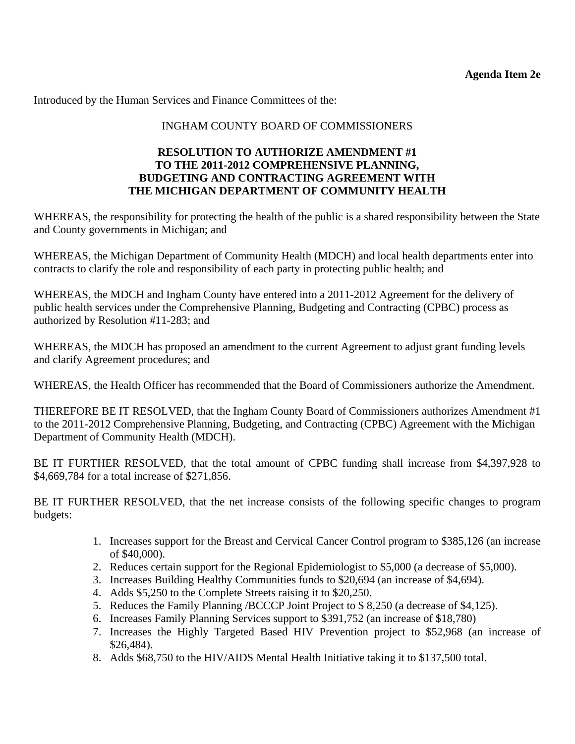#### INGHAM COUNTY BOARD OF COMMISSIONERS

#### **RESOLUTION TO AUTHORIZE AMENDMENT #1 TO THE 2011-2012 COMPREHENSIVE PLANNING, BUDGETING AND CONTRACTING AGREEMENT WITH THE MICHIGAN DEPARTMENT OF COMMUNITY HEALTH**

WHEREAS, the responsibility for protecting the health of the public is a shared responsibility between the State and County governments in Michigan; and

WHEREAS, the Michigan Department of Community Health (MDCH) and local health departments enter into contracts to clarify the role and responsibility of each party in protecting public health; and

WHEREAS, the MDCH and Ingham County have entered into a 2011-2012 Agreement for the delivery of public health services under the Comprehensive Planning, Budgeting and Contracting (CPBC) process as authorized by Resolution #11-283; and

WHEREAS, the MDCH has proposed an amendment to the current Agreement to adjust grant funding levels and clarify Agreement procedures; and

WHEREAS, the Health Officer has recommended that the Board of Commissioners authorize the Amendment.

THEREFORE BE IT RESOLVED, that the Ingham County Board of Commissioners authorizes Amendment #1 to the 2011-2012 Comprehensive Planning, Budgeting, and Contracting (CPBC) Agreement with the Michigan Department of Community Health (MDCH).

BE IT FURTHER RESOLVED, that the total amount of CPBC funding shall increase from \$4,397,928 to \$4,669,784 for a total increase of \$271,856.

BE IT FURTHER RESOLVED, that the net increase consists of the following specific changes to program budgets:

- 1. Increases support for the Breast and Cervical Cancer Control program to \$385,126 (an increase of \$40,000).
- 2. Reduces certain support for the Regional Epidemiologist to \$5,000 (a decrease of \$5,000).
- 3. Increases Building Healthy Communities funds to \$20,694 (an increase of \$4,694).
- 4. Adds \$5,250 to the Complete Streets raising it to \$20,250.
- 5. Reduces the Family Planning /BCCCP Joint Project to \$ 8,250 (a decrease of \$4,125).
- 6. Increases Family Planning Services support to \$391,752 (an increase of \$18,780)
- 7. Increases the Highly Targeted Based HIV Prevention project to \$52,968 (an increase of \$26,484).
- 8. Adds \$68,750 to the HIV/AIDS Mental Health Initiative taking it to \$137,500 total.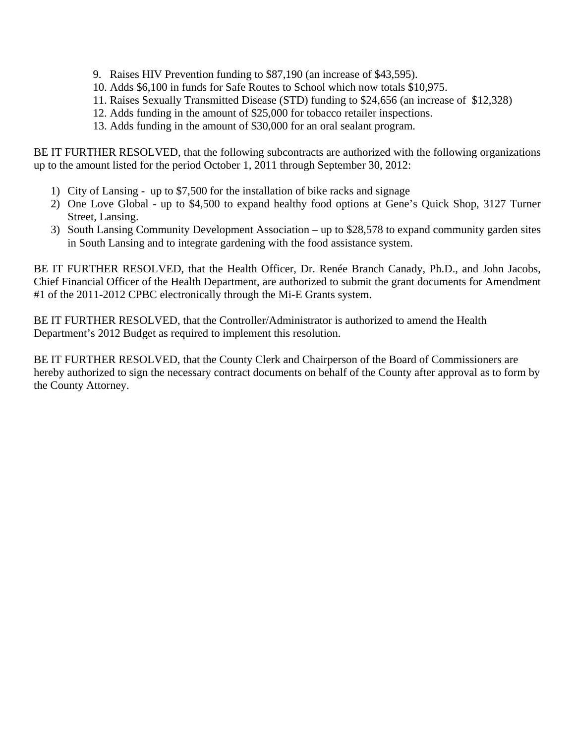- 9. Raises HIV Prevention funding to \$87,190 (an increase of \$43,595).
- 10. Adds \$6,100 in funds for Safe Routes to School which now totals \$10,975.
- 11. Raises Sexually Transmitted Disease (STD) funding to \$24,656 (an increase of \$12,328)
- 12. Adds funding in the amount of \$25,000 for tobacco retailer inspections.
- 13. Adds funding in the amount of \$30,000 for an oral sealant program.

BE IT FURTHER RESOLVED, that the following subcontracts are authorized with the following organizations up to the amount listed for the period October 1, 2011 through September 30, 2012:

- 1) City of Lansing up to \$7,500 for the installation of bike racks and signage
- 2) One Love Global up to \$4,500 to expand healthy food options at Gene's Quick Shop, 3127 Turner Street, Lansing.
- 3) South Lansing Community Development Association up to \$28,578 to expand community garden sites in South Lansing and to integrate gardening with the food assistance system.

BE IT FURTHER RESOLVED, that the Health Officer, Dr. Renée Branch Canady, Ph.D., and John Jacobs, Chief Financial Officer of the Health Department, are authorized to submit the grant documents for Amendment #1 of the 2011-2012 CPBC electronically through the Mi-E Grants system.

BE IT FURTHER RESOLVED, that the Controller/Administrator is authorized to amend the Health Department's 2012 Budget as required to implement this resolution.

BE IT FURTHER RESOLVED, that the County Clerk and Chairperson of the Board of Commissioners are hereby authorized to sign the necessary contract documents on behalf of the County after approval as to form by the County Attorney.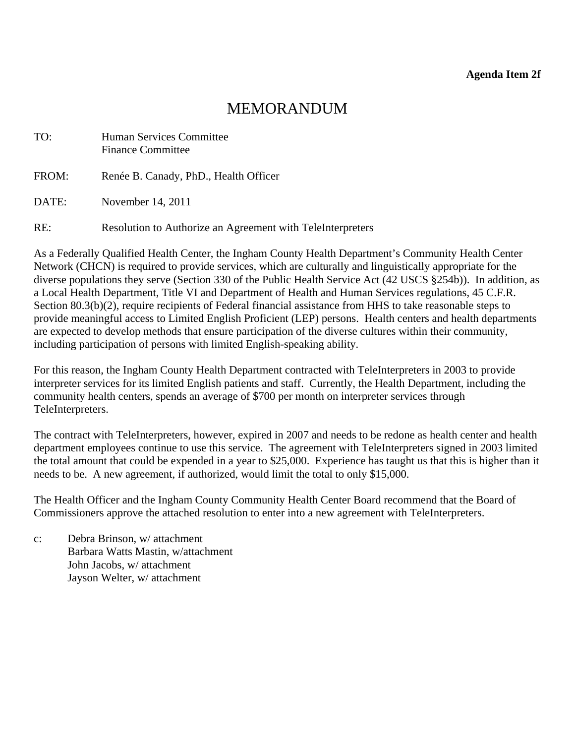# MEMORANDUM

<span id="page-23-0"></span>

| TO:   | Human Services Committee<br><b>Finance Committee</b>       |
|-------|------------------------------------------------------------|
| FROM: | Renée B. Canady, PhD., Health Officer                      |
| DATE: | November 14, 2011                                          |
| RE:   | Resolution to Authorize an Agreement with TeleInterpreters |

As a Federally Qualified Health Center, the Ingham County Health Department's Community Health Center Network (CHCN) is required to provide services, which are culturally and linguistically appropriate for the diverse populations they serve (Section 330 of the Public Health Service Act (42 USCS §254b)). In addition, as a Local Health Department, Title VI and Department of Health and Human Services regulations, 45 C.F.R. Section 80.3(b)(2), require recipients of Federal financial assistance from HHS to take reasonable steps to provide meaningful access to Limited English Proficient (LEP) persons. Health centers and health departments are expected to develop methods that ensure participation of the diverse cultures within their community, including participation of persons with limited English-speaking ability.

For this reason, the Ingham County Health Department contracted with TeleInterpreters in 2003 to provide interpreter services for its limited English patients and staff. Currently, the Health Department, including the community health centers, spends an average of \$700 per month on interpreter services through TeleInterpreters.

The contract with TeleInterpreters, however, expired in 2007 and needs to be redone as health center and health department employees continue to use this service. The agreement with TeleInterpreters signed in 2003 limited the total amount that could be expended in a year to \$25,000. Experience has taught us that this is higher than it needs to be. A new agreement, if authorized, would limit the total to only \$15,000.

The Health Officer and the Ingham County Community Health Center Board recommend that the Board of Commissioners approve the attached resolution to enter into a new agreement with TeleInterpreters.

c: Debra Brinson, w/ attachment Barbara Watts Mastin, w/attachment John Jacobs, w/ attachment Jayson Welter, w/ attachment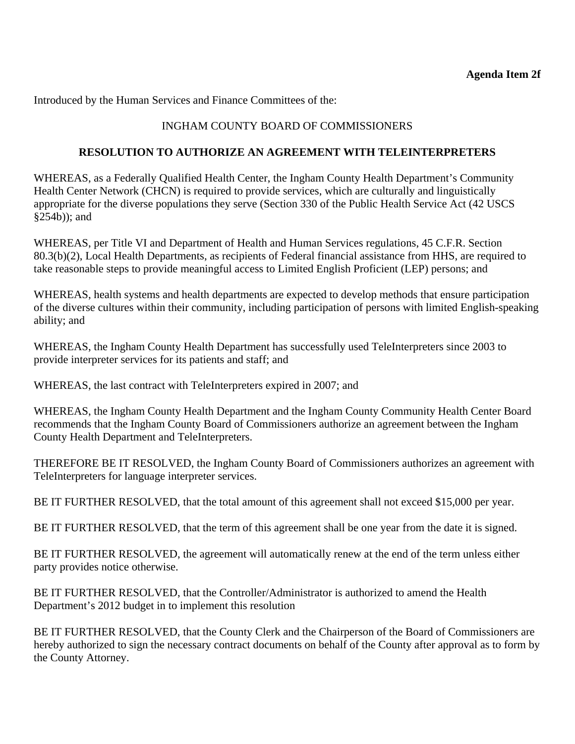## INGHAM COUNTY BOARD OF COMMISSIONERS

#### **RESOLUTION TO AUTHORIZE AN AGREEMENT WITH TELEINTERPRETERS**

WHEREAS, as a Federally Qualified Health Center, the Ingham County Health Department's Community Health Center Network (CHCN) is required to provide services, which are culturally and linguistically appropriate for the diverse populations they serve (Section 330 of the Public Health Service Act (42 USCS §254b)); and

WHEREAS, per Title VI and Department of Health and Human Services regulations, 45 C.F.R. Section 80.3(b)(2), Local Health Departments, as recipients of Federal financial assistance from HHS, are required to take reasonable steps to provide meaningful access to Limited English Proficient (LEP) persons; and

WHEREAS, health systems and health departments are expected to develop methods that ensure participation of the diverse cultures within their community, including participation of persons with limited English-speaking ability; and

WHEREAS, the Ingham County Health Department has successfully used TeleInterpreters since 2003 to provide interpreter services for its patients and staff; and

WHEREAS, the last contract with TeleInterpreters expired in 2007; and

WHEREAS, the Ingham County Health Department and the Ingham County Community Health Center Board recommends that the Ingham County Board of Commissioners authorize an agreement between the Ingham County Health Department and TeleInterpreters.

THEREFORE BE IT RESOLVED, the Ingham County Board of Commissioners authorizes an agreement with TeleInterpreters for language interpreter services.

BE IT FURTHER RESOLVED, that the total amount of this agreement shall not exceed \$15,000 per year.

BE IT FURTHER RESOLVED, that the term of this agreement shall be one year from the date it is signed.

BE IT FURTHER RESOLVED, the agreement will automatically renew at the end of the term unless either party provides notice otherwise.

BE IT FURTHER RESOLVED, that the Controller/Administrator is authorized to amend the Health Department's 2012 budget in to implement this resolution

BE IT FURTHER RESOLVED, that the County Clerk and the Chairperson of the Board of Commissioners are hereby authorized to sign the necessary contract documents on behalf of the County after approval as to form by the County Attorney.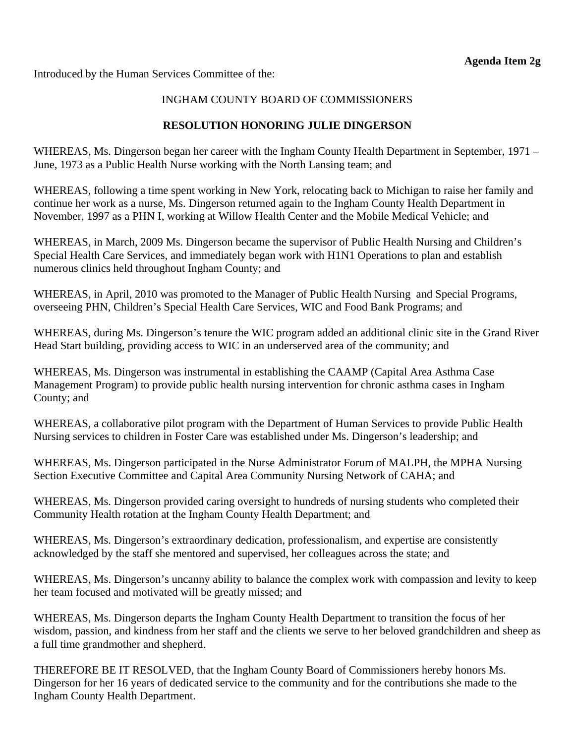<span id="page-25-0"></span>Introduced by the Human Services Committee of the:

## INGHAM COUNTY BOARD OF COMMISSIONERS

## **RESOLUTION HONORING JULIE DINGERSON**

WHEREAS, Ms. Dingerson began her career with the Ingham County Health Department in September, 1971 – June, 1973 as a Public Health Nurse working with the North Lansing team; and

WHEREAS, following a time spent working in New York, relocating back to Michigan to raise her family and continue her work as a nurse, Ms. Dingerson returned again to the Ingham County Health Department in November, 1997 as a PHN I, working at Willow Health Center and the Mobile Medical Vehicle; and

WHEREAS, in March, 2009 Ms. Dingerson became the supervisor of Public Health Nursing and Children's Special Health Care Services, and immediately began work with H1N1 Operations to plan and establish numerous clinics held throughout Ingham County; and

WHEREAS, in April, 2010 was promoted to the Manager of Public Health Nursing and Special Programs, overseeing PHN, Children's Special Health Care Services, WIC and Food Bank Programs; and

WHEREAS, during Ms. Dingerson's tenure the WIC program added an additional clinic site in the Grand River Head Start building, providing access to WIC in an underserved area of the community; and

WHEREAS, Ms. Dingerson was instrumental in establishing the CAAMP (Capital Area Asthma Case Management Program) to provide public health nursing intervention for chronic asthma cases in Ingham County; and

WHEREAS, a collaborative pilot program with the Department of Human Services to provide Public Health Nursing services to children in Foster Care was established under Ms. Dingerson's leadership; and

WHEREAS, Ms. Dingerson participated in the Nurse Administrator Forum of MALPH, the MPHA Nursing Section Executive Committee and Capital Area Community Nursing Network of CAHA; and

WHEREAS, Ms. Dingerson provided caring oversight to hundreds of nursing students who completed their Community Health rotation at the Ingham County Health Department; and

WHEREAS, Ms. Dingerson's extraordinary dedication, professionalism, and expertise are consistently acknowledged by the staff she mentored and supervised, her colleagues across the state; and

WHEREAS, Ms. Dingerson's uncanny ability to balance the complex work with compassion and levity to keep her team focused and motivated will be greatly missed; and

WHEREAS, Ms. Dingerson departs the Ingham County Health Department to transition the focus of her wisdom, passion, and kindness from her staff and the clients we serve to her beloved grandchildren and sheep as a full time grandmother and shepherd.

THEREFORE BE IT RESOLVED, that the Ingham County Board of Commissioners hereby honors Ms. Dingerson for her 16 years of dedicated service to the community and for the contributions she made to the Ingham County Health Department.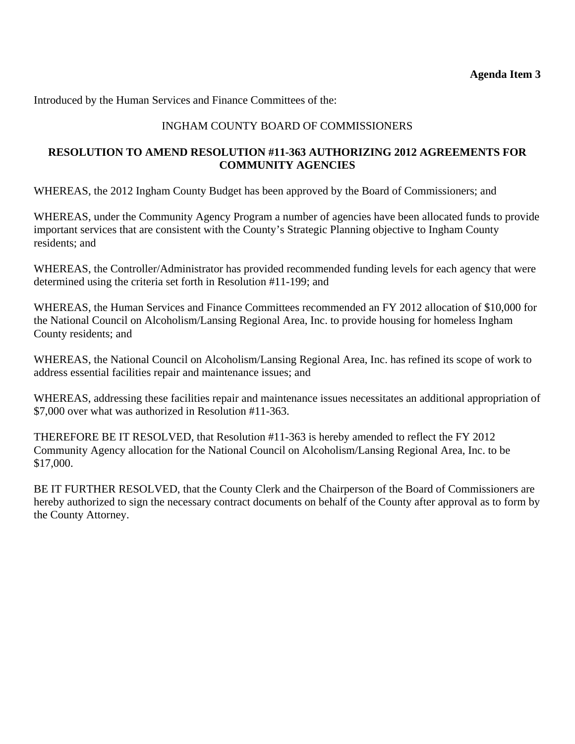## INGHAM COUNTY BOARD OF COMMISSIONERS

## <span id="page-26-0"></span>**RESOLUTION TO AMEND RESOLUTION #11-363 AUTHORIZING 2012 AGREEMENTS FOR COMMUNITY AGENCIES**

WHEREAS, the 2012 Ingham County Budget has been approved by the Board of Commissioners; and

WHEREAS, under the Community Agency Program a number of agencies have been allocated funds to provide important services that are consistent with the County's Strategic Planning objective to Ingham County residents; and

WHEREAS, the Controller/Administrator has provided recommended funding levels for each agency that were determined using the criteria set forth in Resolution #11-199; and

WHEREAS, the Human Services and Finance Committees recommended an FY 2012 allocation of \$10,000 for the National Council on Alcoholism/Lansing Regional Area, Inc. to provide housing for homeless Ingham County residents; and

WHEREAS, the National Council on Alcoholism/Lansing Regional Area, Inc. has refined its scope of work to address essential facilities repair and maintenance issues; and

WHEREAS, addressing these facilities repair and maintenance issues necessitates an additional appropriation of \$7,000 over what was authorized in Resolution #11-363.

THEREFORE BE IT RESOLVED, that Resolution #11-363 is hereby amended to reflect the FY 2012 Community Agency allocation for the National Council on Alcoholism/Lansing Regional Area, Inc. to be \$17,000.

BE IT FURTHER RESOLVED, that the County Clerk and the Chairperson of the Board of Commissioners are hereby authorized to sign the necessary contract documents on behalf of the County after approval as to form by the County Attorney.